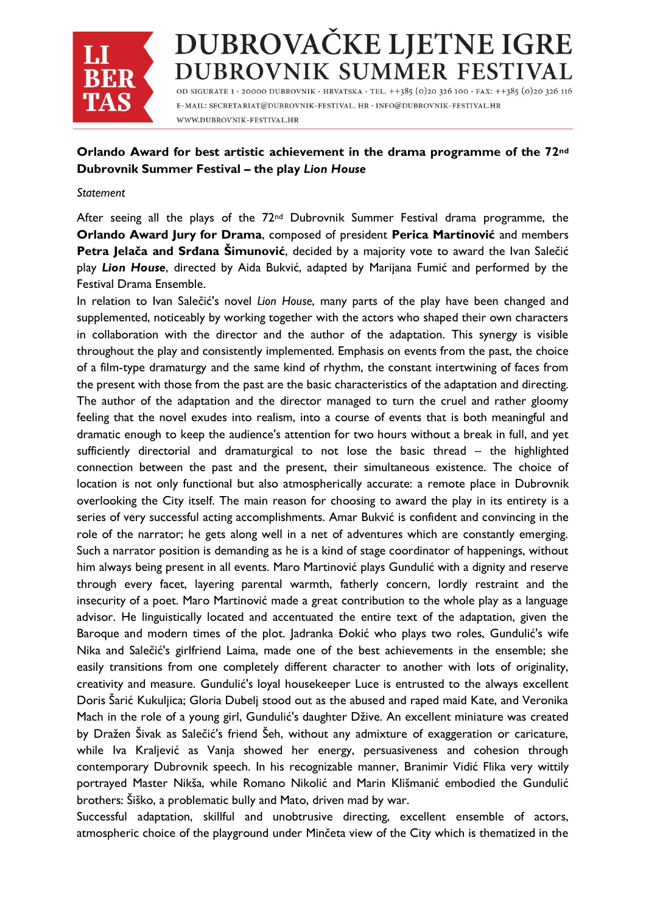

# DUBROVAČKE LJETNE IGRE DUBROVNIK SUMMER FESTIVAL

OD SIGURATE 1 · 20000 DUBROVNIK · HRVATSKA · TEL. + +385 (0)20 326 100 · FAX: + +385 (0)20 326 116 E-MAIL: SECRETARIAT@DUBROVNIK-FESTIVAL. HR · INFO@DUBROVNIK-FESTIVAL.HR WWW.DUBROVNIK-FESTIVAL.HR

## **Orlando Award for best artistic achievement in the drama programme of the 72nd Dubrovnik Summer Festival – the play** *Lion House*

#### *Statement*

After seeing all the plays of the  $72<sup>nd</sup>$  Dubrovnik Summer Festival drama programme, the **Orlando Award Jury for Drama**, composed of president **Perica Martinović** and members **Petra Jelača and Srđana Šimunović**, decided by a majority vote to award the Ivan Salečić play *Lion House*, directed by Aida Bukvić, adapted by Marijana Fumić and performed by the Festival Drama Ensemble.

In relation to Ivan Salečić's novel *Lion House*, many parts of the play have been changed and supplemented, noticeably by working together with the actors who shaped their own characters in collaboration with the director and the author of the adaptation. This synergy is visible throughout the play and consistently implemented. Emphasis on events from the past, the choice of a film-type dramaturgy and the same kind of rhythm, the constant intertwining of faces from the present with those from the past are the basic characteristics of the adaptation and directing. The author of the adaptation and the director managed to turn the cruel and rather gloomy feeling that the novel exudes into realism, into a course of events that is both meaningful and dramatic enough to keep the audience's attention for two hours without a break in full, and yet sufficiently directorial and dramaturgical to not lose the basic thread – the highlighted connection between the past and the present, their simultaneous existence. The choice of location is not only functional but also atmospherically accurate: a remote place in Dubrovnik overlooking the City itself. The main reason for choosing to award the play in its entirety is a series of very successful acting accomplishments. Amar Bukvić is confident and convincing in the role of the narrator; he gets along well in a net of adventures which are constantly emerging. Such a narrator position is demanding as he is a kind of stage coordinator of happenings, without him always being present in all events. Maro Martinović plays Gundulić with a dignity and reserve through every facet, layering parental warmth, fatherly concern, lordly restraint and the insecurity of a poet. Maro Martinović made a great contribution to the whole play as a language advisor. He linguistically located and accentuated the entire text of the adaptation, given the Baroque and modern times of the plot. Jadranka Đokić who plays two roles, Gundulić's wife Nika and Salečić's girlfriend Laima, made one of the best achievements in the ensemble; she easily transitions from one completely different character to another with lots of originality, creativity and measure. Gundulić's loyal housekeeper Luce is entrusted to the always excellent Doris Šarić Kukuljica; Gloria Dubelj stood out as the abused and raped maid Kate, and Veronika Mach in the role of a young girl, Gundulić's daughter Džive. An excellent miniature was created by Dražen Šivak as Salečić's friend Šeh, without any admixture of exaggeration or caricature, while Iva Kraljević as Vanja showed her energy, persuasiveness and cohesion through contemporary Dubrovnik speech. In his recognizable manner, Branimir Vidić Flika very wittily portrayed Master Nikša, while Romano Nikolić and Marin Klišmanić embodied the Gundulić brothers: Šiško, a problematic bully and Mato, driven mad by war.

Successful adaptation, skillful and unobtrusive directing, excellent ensemble of actors, atmospheric choice of the playground under Minčeta view of the City which is thematized in the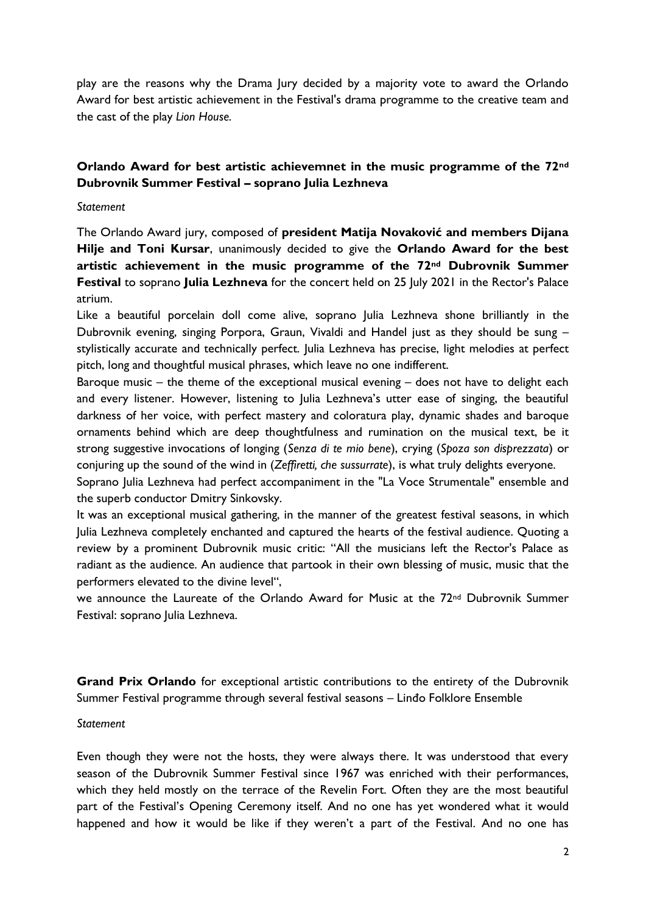play are the reasons why the Drama Jury decided by a majority vote to award the Orlando Award for best artistic achievement in the Festival's drama programme to the creative team and the cast of the play *Lion House*.

## **Orlando Award for best artistic achievemnet in the music programme of the 72nd Dubrovnik Summer Festival – soprano Julia Lezhneva**

### *Statement*

The Orlando Award jury, composed of **president Matija Novaković and members Dijana Hilje and Toni Kursar**, unanimously decided to give the **Orlando Award for the best artistic achievement in the music programme of the 72nd Dubrovnik Summer Festival** to soprano **Julia Lezhneva** for the concert held on 25 July 2021 in the Rector's Palace atrium.

Like a beautiful porcelain doll come alive, soprano Julia Lezhneva shone brilliantly in the Dubrovnik evening, singing Porpora, Graun, Vivaldi and Handel just as they should be sung – stylistically accurate and technically perfect. Julia Lezhneva has precise, light melodies at perfect pitch, long and thoughtful musical phrases, which leave no one indifferent.

Baroque music – the theme of the exceptional musical evening – does not have to delight each and every listener. However, listening to Julia Lezhneva's utter ease of singing, the beautiful darkness of her voice, with perfect mastery and coloratura play, dynamic shades and baroque ornaments behind which are deep thoughtfulness and rumination on the musical text, be it strong suggestive invocations of longing (*Senza di te mio bene*), crying (*Spoza son disprezzata*) or conjuring up the sound of the wind in (*Zeffiretti, che sussurrate*), is what truly delights everyone.

Soprano Julia Lezhneva had perfect accompaniment in the "La Voce Strumentale" ensemble and the superb conductor Dmitry Sinkovsky.

It was an exceptional musical gathering, in the manner of the greatest festival seasons, in which Julia Lezhneva completely enchanted and captured the hearts of the festival audience. Quoting a review by a prominent Dubrovnik music critic: "All the musicians left the Rector's Palace as radiant as the audience. An audience that partook in their own blessing of music, music that the performers elevated to the divine level",

we announce the Laureate of the Orlando Award for Music at the 72nd Dubrovnik Summer Festival: soprano Julia Lezhneva.

**Grand Prix Orlando** for exceptional artistic contributions to the entirety of the Dubrovnik Summer Festival programme through several festival seasons – Linđo Folklore Ensemble

#### *Statement*

Even though they were not the hosts, they were always there. It was understood that every season of the Dubrovnik Summer Festival since 1967 was enriched with their performances, which they held mostly on the terrace of the Revelin Fort. Often they are the most beautiful part of the Festival's Opening Ceremony itself. And no one has yet wondered what it would happened and how it would be like if they weren't a part of the Festival. And no one has